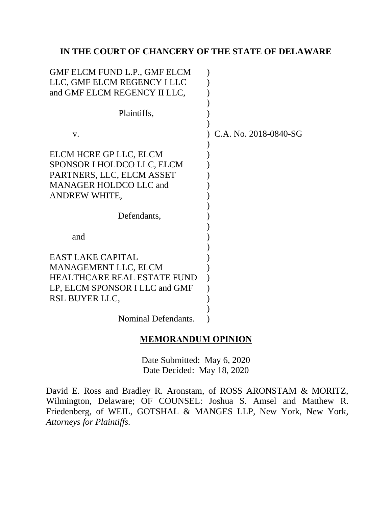## **IN THE COURT OF CHANCERY OF THE STATE OF DELAWARE**

| GMF ELCM FUND L.P., GMF ELCM<br>LLC, GMF ELCM REGENCY I LLC<br>and GMF ELCM REGENCY II LLC,                                                       |                       |
|---------------------------------------------------------------------------------------------------------------------------------------------------|-----------------------|
| Plaintiffs,                                                                                                                                       |                       |
| V.                                                                                                                                                | C.A. No. 2018-0840-SG |
| ELCM HCRE GP LLC, ELCM<br>SPONSOR I HOLDCO LLC, ELCM<br>PARTNERS, LLC, ELCM ASSET<br><b>MANAGER HOLDCO LLC and</b><br><b>ANDREW WHITE,</b>        |                       |
| Defendants,                                                                                                                                       |                       |
| and                                                                                                                                               |                       |
| <b>EAST LAKE CAPITAL</b><br><b>MANAGEMENT LLC, ELCM</b><br><b>HEALTHCARE REAL ESTATE FUND</b><br>LP, ELCM SPONSOR I LLC and GMF<br>RSL BUYER LLC, |                       |
| Nominal Defendants.                                                                                                                               |                       |

### **MEMORANDUM OPINION**

Date Submitted: May 6, 2020 Date Decided: May 18, 2020

David E. Ross and Bradley R. Aronstam, of ROSS ARONSTAM & MORITZ, Wilmington, Delaware; OF COUNSEL: Joshua S. Amsel and Matthew R. Friedenberg, of WEIL, GOTSHAL & MANGES LLP, New York, New York, *Attorneys for Plaintiffs.*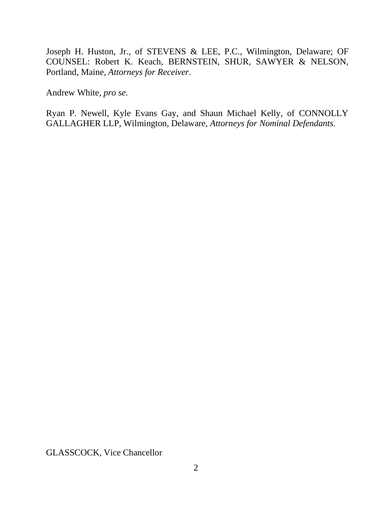Joseph H. Huston, Jr., of STEVENS & LEE, P.C., Wilmington, Delaware; OF COUNSEL: Robert K. Keach, BERNSTEIN, SHUR, SAWYER & NELSON, Portland, Maine, *Attorneys for Receiver.*

Andrew White, *pro se.*

Ryan P. Newell, Kyle Evans Gay, and Shaun Michael Kelly, of CONNOLLY GALLAGHER LLP, Wilmington, Delaware, *Attorneys for Nominal Defendants.*

GLASSCOCK, Vice Chancellor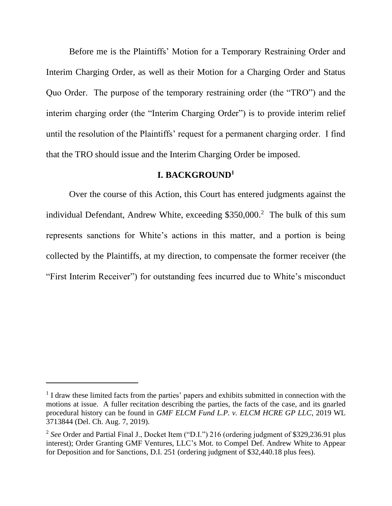Before me is the Plaintiffs' Motion for a Temporary Restraining Order and Interim Charging Order, as well as their Motion for a Charging Order and Status Quo Order. The purpose of the temporary restraining order (the "TRO") and the interim charging order (the "Interim Charging Order") is to provide interim relief until the resolution of the Plaintiffs' request for a permanent charging order. I find that the TRO should issue and the Interim Charging Order be imposed.

### **I. BACKGROUND<sup>1</sup>**

Over the course of this Action, this Court has entered judgments against the individual Defendant, Andrew White, exceeding \$350,000.<sup>2</sup> The bulk of this sum represents sanctions for White's actions in this matter, and a portion is being collected by the Plaintiffs, at my direction, to compensate the former receiver (the "First Interim Receiver") for outstanding fees incurred due to White's misconduct

<sup>&</sup>lt;sup>1</sup> I draw these limited facts from the parties' papers and exhibits submitted in connection with the motions at issue. A fuller recitation describing the parties, the facts of the case, and its gnarled procedural history can be found in *GMF ELCM Fund L.P. v. ELCM HCRE GP LLC*, 2019 WL 3713844 (Del. Ch. Aug. 7, 2019).

<sup>&</sup>lt;sup>2</sup> See Order and Partial Final J., Docket Item ("D.I.") 216 (ordering judgment of \$329,236.91 plus interest); Order Granting GMF Ventures, LLC's Mot. to Compel Def. Andrew White to Appear for Deposition and for Sanctions, D.I. 251 (ordering judgment of \$32,440.18 plus fees).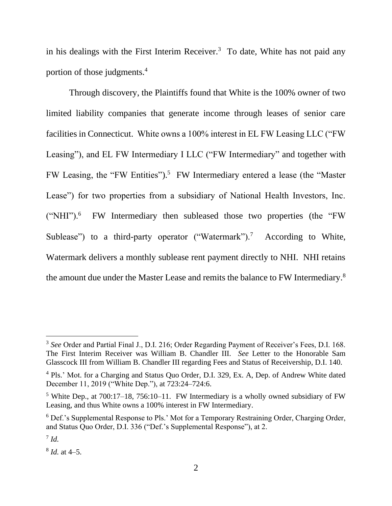in his dealings with the First Interim Receiver. $3$  To date, White has not paid any portion of those judgments.<sup>4</sup>

Through discovery, the Plaintiffs found that White is the 100% owner of two limited liability companies that generate income through leases of senior care facilities in Connecticut. White owns a 100% interest in EL FW Leasing LLC ("FW Leasing"), and EL FW Intermediary I LLC ("FW Intermediary" and together with FW Leasing, the "FW Entities").<sup>5</sup> FW Intermediary entered a lease (the "Master Lease") for two properties from a subsidiary of National Health Investors, Inc. ("NHI").<sup>6</sup> FW Intermediary then subleased those two properties (the "FW Sublease") to a third-party operator ("Watermark").<sup>7</sup> According to White, Watermark delivers a monthly sublease rent payment directly to NHI. NHI retains the amount due under the Master Lease and remits the balance to FW Intermediary.<sup>8</sup>

<sup>&</sup>lt;sup>3</sup> See Order and Partial Final J., D.I. 216; Order Regarding Payment of Receiver's Fees, D.I. 168. The First Interim Receiver was William B. Chandler III. *See* Letter to the Honorable Sam Glasscock III from William B. Chandler III regarding Fees and Status of Receivership, D.I. 140.

<sup>&</sup>lt;sup>4</sup> Pls.' Mot. for a Charging and Status Quo Order, D.I. 329, Ex. A, Dep. of Andrew White dated December 11, 2019 ("White Dep."), at 723:24–724:6.

<sup>&</sup>lt;sup>5</sup> White Dep., at 700:17–18, 756:10–11. FW Intermediary is a wholly owned subsidiary of FW Leasing, and thus White owns a 100% interest in FW Intermediary.

<sup>6</sup> Def.'s Supplemental Response to Pls.' Mot for a Temporary Restraining Order, Charging Order, and Status Quo Order, D.I. 336 ("Def.'s Supplemental Response"), at 2.

<sup>7</sup> *Id.*

<sup>8</sup> *Id.* at 4–5.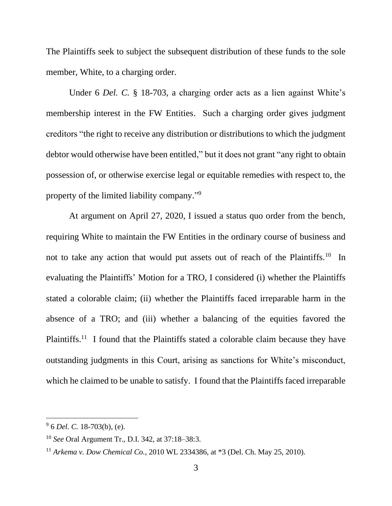The Plaintiffs seek to subject the subsequent distribution of these funds to the sole member, White, to a charging order.

Under 6 *Del. C.* § 18-703, a charging order acts as a lien against White's membership interest in the FW Entities. Such a charging order gives judgment creditors "the right to receive any distribution or distributions to which the judgment debtor would otherwise have been entitled," but it does not grant "any right to obtain possession of, or otherwise exercise legal or equitable remedies with respect to, the property of the limited liability company."<sup>9</sup>

At argument on April 27, 2020, I issued a status quo order from the bench, requiring White to maintain the FW Entities in the ordinary course of business and not to take any action that would put assets out of reach of the Plaintiffs.<sup>10</sup> In evaluating the Plaintiffs' Motion for a TRO, I considered (i) whether the Plaintiffs stated a colorable claim; (ii) whether the Plaintiffs faced irreparable harm in the absence of a TRO; and (iii) whether a balancing of the equities favored the Plaintiffs.<sup>11</sup> I found that the Plaintiffs stated a colorable claim because they have outstanding judgments in this Court, arising as sanctions for White's misconduct, which he claimed to be unable to satisfy. I found that the Plaintiffs faced irreparable

<sup>9</sup> 6 *Del. C.* 18-703(b), (e).

<sup>10</sup> *See* Oral Argument Tr., D.I. 342, at 37:18–38:3.

<sup>11</sup> *Arkema v. Dow Chemical Co.*, 2010 WL 2334386, at \*3 (Del. Ch. May 25, 2010).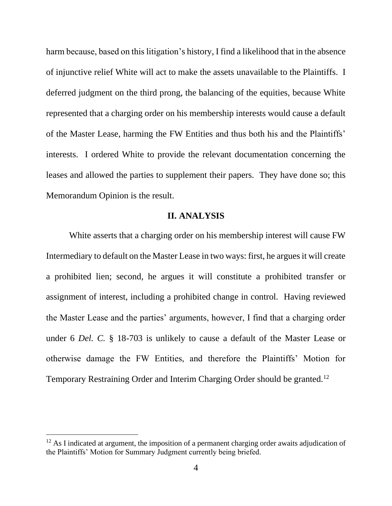harm because, based on this litigation's history, I find a likelihood that in the absence of injunctive relief White will act to make the assets unavailable to the Plaintiffs. I deferred judgment on the third prong, the balancing of the equities, because White represented that a charging order on his membership interests would cause a default of the Master Lease, harming the FW Entities and thus both his and the Plaintiffs' interests. I ordered White to provide the relevant documentation concerning the leases and allowed the parties to supplement their papers. They have done so; this Memorandum Opinion is the result.

### **II. ANALYSIS**

White asserts that a charging order on his membership interest will cause FW Intermediary to default on the Master Lease in two ways: first, he argues it will create a prohibited lien; second, he argues it will constitute a prohibited transfer or assignment of interest, including a prohibited change in control. Having reviewed the Master Lease and the parties' arguments, however, I find that a charging order under 6 *Del. C.* § 18-703 is unlikely to cause a default of the Master Lease or otherwise damage the FW Entities, and therefore the Plaintiffs' Motion for Temporary Restraining Order and Interim Charging Order should be granted.<sup>12</sup>

 $12$  As I indicated at argument, the imposition of a permanent charging order awaits adjudication of the Plaintiffs' Motion for Summary Judgment currently being briefed.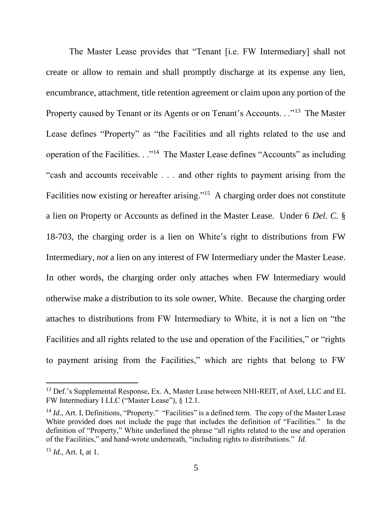The Master Lease provides that "Tenant [i.e. FW Intermediary] shall not create or allow to remain and shall promptly discharge at its expense any lien, encumbrance, attachment, title retention agreement or claim upon any portion of the Property caused by Tenant or its Agents or on Tenant's Accounts. . ."<sup>13</sup> The Master Lease defines "Property" as "the Facilities and all rights related to the use and operation of the Facilities. . ."<sup>14</sup> The Master Lease defines "Accounts" as including "cash and accounts receivable . . . and other rights to payment arising from the Facilities now existing or hereafter arising."<sup>15</sup> A charging order does not constitute a lien on Property or Accounts as defined in the Master Lease. Under 6 *Del. C.* § 18-703, the charging order is a lien on White's right to distributions from FW Intermediary, *not* a lien on any interest of FW Intermediary under the Master Lease. In other words, the charging order only attaches when FW Intermediary would otherwise make a distribution to its sole owner, White. Because the charging order attaches to distributions from FW Intermediary to White, it is not a lien on "the Facilities and all rights related to the use and operation of the Facilities," or "rights to payment arising from the Facilities," which are rights that belong to FW

<sup>&</sup>lt;sup>13</sup> Def.'s Supplemental Response, Ex. A, Master Lease between NHI-REIT, of Axel, LLC and EL FW Intermediary I LLC ("Master Lease"), § 12.1.

<sup>&</sup>lt;sup>14</sup> *Id.*, Art. I, Definitions, "Property." "Facilities" is a defined term. The copy of the Master Lease White provided does not include the page that includes the definition of "Facilities." In the definition of "Property," White underlined the phrase "all rights related to the use and operation of the Facilities," and hand-wrote underneath, "including rights to distributions." *Id.*

<sup>15</sup> *Id.*, Art. I, at 1.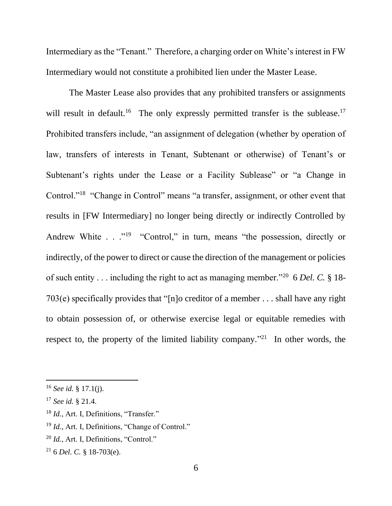Intermediary as the "Tenant." Therefore, a charging order on White's interest in FW Intermediary would not constitute a prohibited lien under the Master Lease.

The Master Lease also provides that any prohibited transfers or assignments will result in default.<sup>16</sup> The only expressly permitted transfer is the sublease.<sup>17</sup> Prohibited transfers include, "an assignment of delegation (whether by operation of law, transfers of interests in Tenant, Subtenant or otherwise) of Tenant's or Subtenant's rights under the Lease or a Facility Sublease" or "a Change in Control."<sup>18</sup> "Change in Control" means "a transfer, assignment, or other event that results in [FW Intermediary] no longer being directly or indirectly Controlled by Andrew White  $\ldots$ <sup>19</sup> "Control," in turn, means "the possession, directly or indirectly, of the power to direct or cause the direction of the management or policies of such entity . . . including the right to act as managing member."<sup>20</sup> 6 *Del. C.* § 18- 703(e) specifically provides that "[n]o creditor of a member . . . shall have any right to obtain possession of, or otherwise exercise legal or equitable remedies with respect to, the property of the limited liability company.<sup> $21$ </sup> In other words, the

<sup>16</sup> *See id.* § 17.1(j).

<sup>17</sup> *See id.* § 21.4.

<sup>&</sup>lt;sup>18</sup> *Id.*, Art. I, Definitions, "Transfer."

<sup>&</sup>lt;sup>19</sup> *Id.*, Art. I, Definitions, "Change of Control."

<sup>20</sup> *Id.*, Art. I, Definitions, "Control."

<sup>21</sup> 6 *Del. C.* § 18-703(e).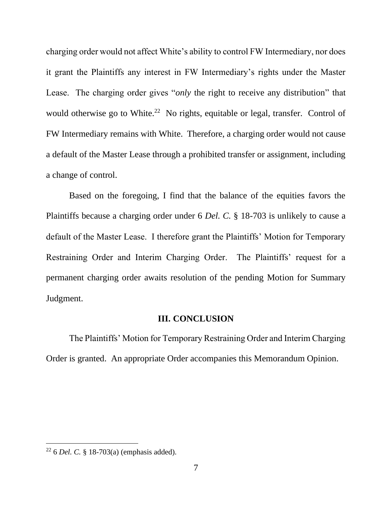charging order would not affect White's ability to control FW Intermediary, nor does it grant the Plaintiffs any interest in FW Intermediary's rights under the Master Lease. The charging order gives "*only* the right to receive any distribution" that would otherwise go to White.<sup>22</sup> No rights, equitable or legal, transfer. Control of FW Intermediary remains with White. Therefore, a charging order would not cause a default of the Master Lease through a prohibited transfer or assignment, including a change of control.

Based on the foregoing, I find that the balance of the equities favors the Plaintiffs because a charging order under 6 *Del. C.* § 18-703 is unlikely to cause a default of the Master Lease. I therefore grant the Plaintiffs' Motion for Temporary Restraining Order and Interim Charging Order. The Plaintiffs' request for a permanent charging order awaits resolution of the pending Motion for Summary Judgment.

#### **III. CONCLUSION**

The Plaintiffs' Motion for Temporary Restraining Order and Interim Charging Order is granted. An appropriate Order accompanies this Memorandum Opinion.

<sup>22</sup> 6 *Del. C.* § 18-703(a) (emphasis added).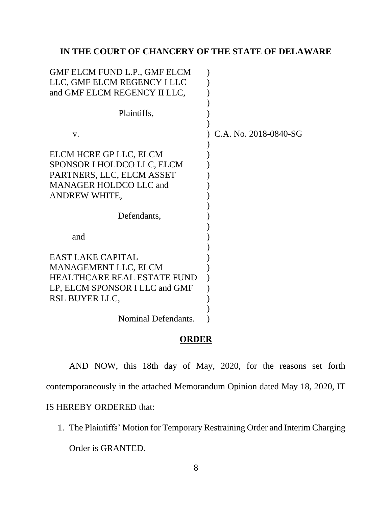## **IN THE COURT OF CHANCERY OF THE STATE OF DELAWARE**

| GMF ELCM FUND L.P., GMF ELCM<br>LLC, GMF ELCM REGENCY I LLC<br>and GMF ELCM REGENCY II LLC,                                                |                       |
|--------------------------------------------------------------------------------------------------------------------------------------------|-----------------------|
| Plaintiffs,                                                                                                                                |                       |
| V.                                                                                                                                         | C.A. No. 2018-0840-SG |
| ELCM HCRE GP LLC, ELCM<br>SPONSOR I HOLDCO LLC, ELCM<br>PARTNERS, LLC, ELCM ASSET<br><b>MANAGER HOLDCO LLC and</b><br>ANDREW WHITE,        |                       |
| Defendants,                                                                                                                                |                       |
| and                                                                                                                                        |                       |
| <b>EAST LAKE CAPITAL</b><br>MANAGEMENT LLC, ELCM<br><b>HEALTHCARE REAL ESTATE FUND</b><br>LP, ELCM SPONSOR I LLC and GMF<br>RSL BUYER LLC, |                       |
| Nominal Defendants.                                                                                                                        |                       |

# **ORDER**

AND NOW, this 18th day of May, 2020, for the reasons set forth contemporaneously in the attached Memorandum Opinion dated May 18, 2020, IT

IS HEREBY ORDERED that:

1. The Plaintiffs' Motion for Temporary Restraining Order and Interim Charging Order is GRANTED.